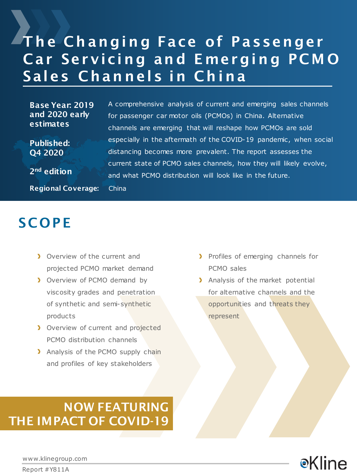# The Changing Face of Passenger Car Servicing and Emerging PCMO Sales Channels in China

A comprehensive analysis of current and emerging sales channels

especially in the aftermath of the COVID-19 pandemic, when social

current state of PCMO sales channels, how they will likely evolve,

for passenger car motor oils (PCMOs) in China. Alternative channels are emerging that will reshape how PCMOs are sold

distancing becomes more prevalent. The report assesses the

and what PCMO distribution will look like in the future.

Base Year: 2019 and 2020 early estimates

Published: Q4 2020

2nd edition

Regional Coverage: China

## **SCOPE**

- **D** Overview of the current and projected PCMO market demand
- **D** Overview of PCMO demand by viscosity grades and penetration of synthetic and semi-synthetic products
- > Overview of current and projected PCMO distribution channels
- > Analysis of the PCMO supply chain and profiles of key stakeholders
- > Profiles of emerging channels for PCMO sales
- > Analysis of the market potential for alternative channels and the opportunities and threats they represent

## NOW FEATURING THE IMPACT OF COVID-19



www.klinegroup.com

Report #Y811A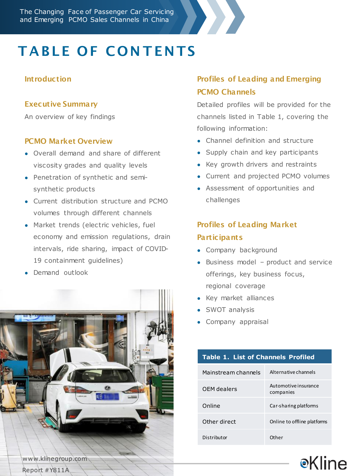# **TABLE OF CONTENTS**

### **Introduction**

### Executive Summary

An overview of key findings

#### PCMO Market Overview

- Overall demand and share of different viscosity grades and quality levels
- Penetration of synthetic and semisynthetic products
- Current distribution structure and PCMO volumes through different channels
- Market trends (electric vehicles, fuel economy and emission regulations, drain intervals, ride sharing, impact of COVID-19 containment guidelines)
- Demand outlook



## Profiles of Leading and Emerging PCMO Channels

Detailed profiles will be provided for the channels listed in Table 1, covering the following information:

- Channel definition and structure
- Supply chain and key participants
- Key growth drivers and restraints
- Current and projected PCMO volumes
- Assessment of opportunities and challenges

## Profiles of Leading Market **Participants**

- Company background
- Business model product and service offerings, key business focus, regional coverage
- Key market alliances
- SWOT analysis
- Company appraisal

### **Table 1. List of Channels Profiled**

| Mainstream channels | Alternative channels              |
|---------------------|-----------------------------------|
| OFM dealers         | Automotive insurance<br>companies |
| Online              | Car-sharing platforms             |
| Other direct        | Online to offline platforms       |
| Distributor         | <b>Other</b>                      |

**e**Kline

Report #Y811A